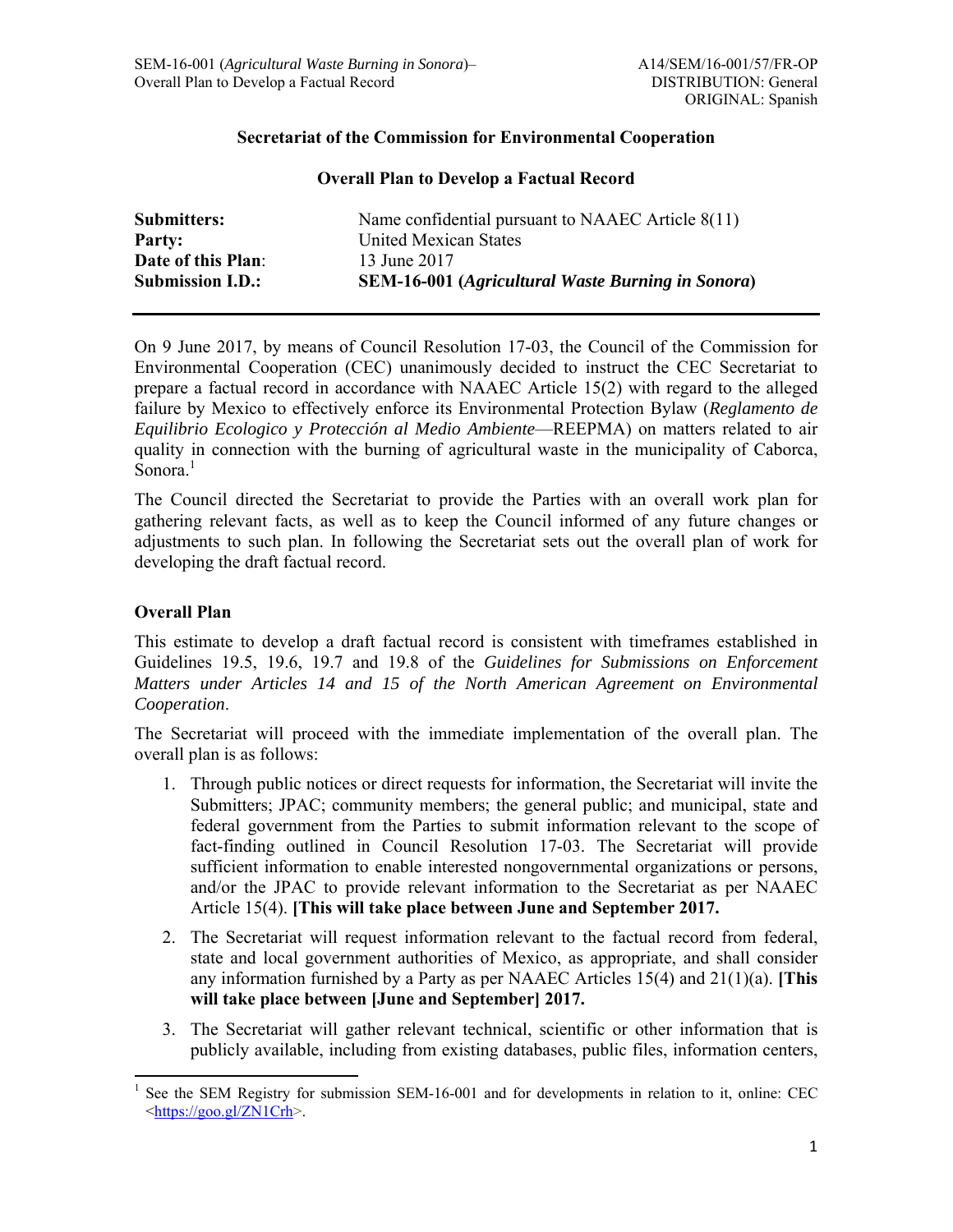## **Secretariat of the Commission for Environmental Cooperation**

## **Overall Plan to Develop a Factual Record**

| <b>Submitters:</b>      | Name confidential pursuant to NAAEC Article 8(11)        |
|-------------------------|----------------------------------------------------------|
| Party:                  | United Mexican States                                    |
| Date of this Plan:      | 13 June 2017                                             |
| <b>Submission I.D.:</b> | <b>SEM-16-001 (Agricultural Waste Burning in Sonora)</b> |

On 9 June 2017, by means of Council Resolution 17-03, the Council of the Commission for Environmental Cooperation (CEC) unanimously decided to instruct the CEC Secretariat to prepare a factual record in accordance with NAAEC Article 15(2) with regard to the alleged failure by Mexico to effectively enforce its Environmental Protection Bylaw (*Reglamento de Equilibrio Ecologico y Protección al Medio Ambiente*—REEPMA) on matters related to air quality in connection with the burning of agricultural waste in the municipality of Caborca, Sonora.<sup>1</sup>

The Council directed the Secretariat to provide the Parties with an overall work plan for gathering relevant facts, as well as to keep the Council informed of any future changes or adjustments to such plan. In following the Secretariat sets out the overall plan of work for developing the draft factual record.

## **Overall Plan**

This estimate to develop a draft factual record is consistent with timeframes established in Guidelines 19.5, 19.6, 19.7 and 19.8 of the *Guidelines for Submissions on Enforcement Matters under Articles 14 and 15 of the North American Agreement on Environmental Cooperation*.

The Secretariat will proceed with the immediate implementation of the overall plan. The overall plan is as follows:

- 1. Through public notices or direct requests for information, the Secretariat will invite the Submitters; JPAC; community members; the general public; and municipal, state and federal government from the Parties to submit information relevant to the scope of fact-finding outlined in Council Resolution 17-03. The Secretariat will provide sufficient information to enable interested nongovernmental organizations or persons, and/or the JPAC to provide relevant information to the Secretariat as per NAAEC Article 15(4). **[This will take place between June and September 2017.**
- 2. The Secretariat will request information relevant to the factual record from federal, state and local government authorities of Mexico, as appropriate, and shall consider any information furnished by a Party as per NAAEC Articles 15(4) and 21(1)(a). **[This will take place between [June and September] 2017.**
- 3. The Secretariat will gather relevant technical, scientific or other information that is publicly available, including from existing databases, public files, information centers,

<sup>1</sup> See the SEM Registry for submission SEM-16-001 and for developments in relation to it, online: CEC <https://goo.gl/ZN1Crh>.